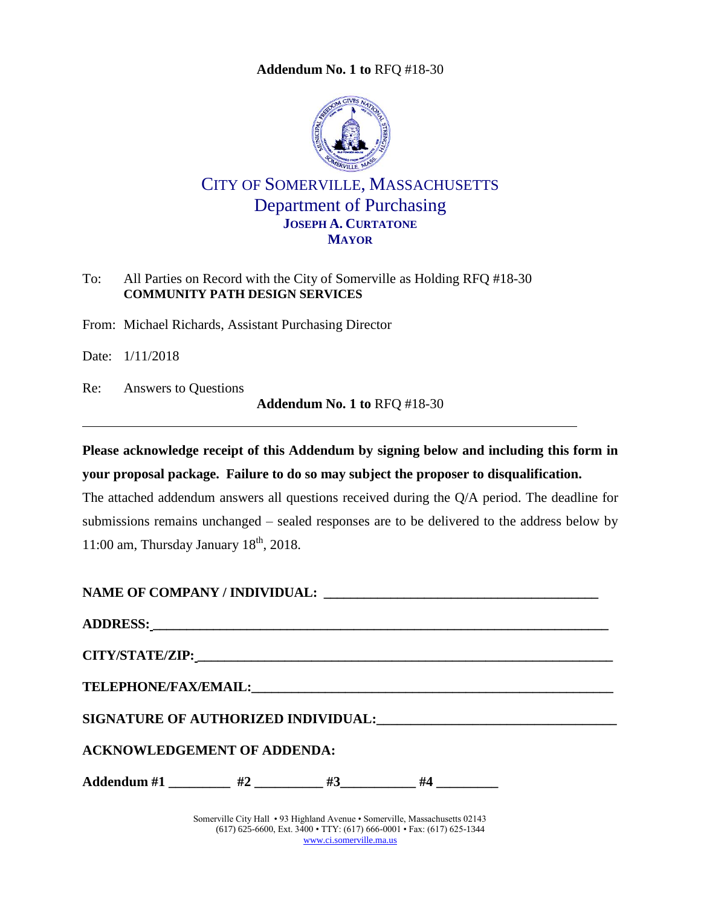<span id="page-0-0"></span>

# CITY OF SOMERVILLE, MASSACHUSETTS Department of Purchasing **JOSEPH A. CURTATONE MAYOR**

### To: All Parties on Record with the City of Somerville as Holding RFQ #18-30 **COMMUNITY PATH DESIGN SERVICES**

From: Michael Richards, Assistant Purchasing Director

Date: 1/11/2018

Re: Answers to Questions

**Addendum No. 1 to** [RFQ #18-30](#page-0-0)

**Please acknowledge receipt of this Addendum by signing below and including this form in your proposal package. Failure to do so may subject the proposer to disqualification.**

The attached addendum answers all questions received during the Q/A period. The deadline for submissions remains unchanged – sealed responses are to be delivered to the address below by 11:00 am, Thursday January  $18<sup>th</sup>$ , 2018.

| SIGNATURE OF AUTHORIZED INDIVIDUAL: Under the contract of a set of a set of the set of the set of the set of t |  |
|----------------------------------------------------------------------------------------------------------------|--|
| <b>ACKNOWLEDGEMENT OF ADDENDA:</b>                                                                             |  |
| Addendum #1 _________ #2 ________ #3 ________ #4 _________                                                     |  |

Somerville City Hall • 93 Highland Avenue • Somerville, Massachusetts 02143 (617) 625-6600, Ext. 3400 • TTY: (617) 666-0001 • Fax: (617) 625-1344 [www.ci.somerville.ma.us](http://www.ci.somerville.ma.us/)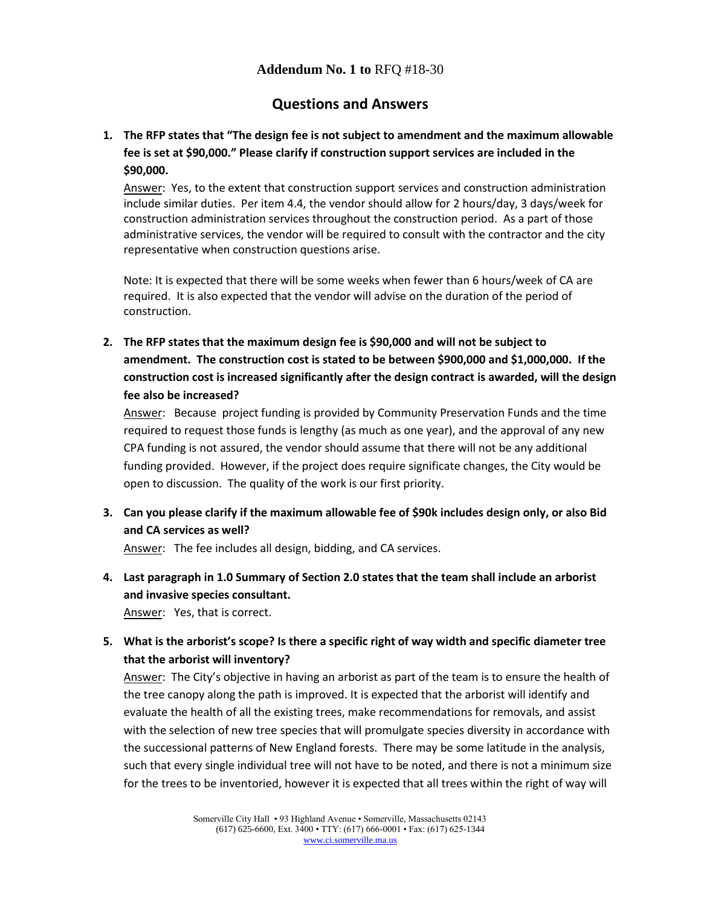# **Questions and Answers**

# **1. The RFP states that "The design fee is not subject to amendment and the maximum allowable fee is set at \$90,000." Please clarify if construction support services are included in the \$90,000.**

Answer: Yes, to the extent that construction support services and construction administration include similar duties. Per item 4.4, the vendor should allow for 2 hours/day, 3 days/week for construction administration services throughout the construction period. As a part of those administrative services, the vendor will be required to consult with the contractor and the city representative when construction questions arise.

 Note: It is expected that there will be some weeks when fewer than 6 hours/week of CA are required. It is also expected that the vendor will advise on the duration of the period of construction.

**2. The RFP states that the maximum design fee is \$90,000 and will not be subject to amendment. The construction cost is stated to be between \$900,000 and \$1,000,000. If the construction cost is increased significantly after the design contract is awarded, will the design fee also be increased?**

Answer: Because project funding is provided by Community Preservation Funds and the time required to request those funds is lengthy (as much as one year), and the approval of any new CPA funding is not assured, the vendor should assume that there will not be any additional funding provided. However, if the project does require significate changes, the City would be open to discussion. The quality of the work is our first priority.

**3. Can you please clarify if the maximum allowable fee of \$90k includes design only, or also Bid and CA services as well?** 

Answer: The fee includes all design, bidding, and CA services.

**4. Last paragraph in 1.0 Summary of Section 2.0 states that the team shall include an arborist and invasive species consultant.** 

Answer: Yes, that is correct.

**5. What is the arborist's scope? Is there a specific right of way width and specific diameter tree that the arborist will inventory?**

Answer: The City's objective in having an arborist as part of the team is to ensure the health of the tree canopy along the path is improved. It is expected that the arborist will identify and evaluate the health of all the existing trees, make recommendations for removals, and assist with the selection of new tree species that will promulgate species diversity in accordance with the successional patterns of New England forests. There may be some latitude in the analysis, such that every single individual tree will not have to be noted, and there is not a minimum size for the trees to be inventoried, however it is expected that all trees within the right of way will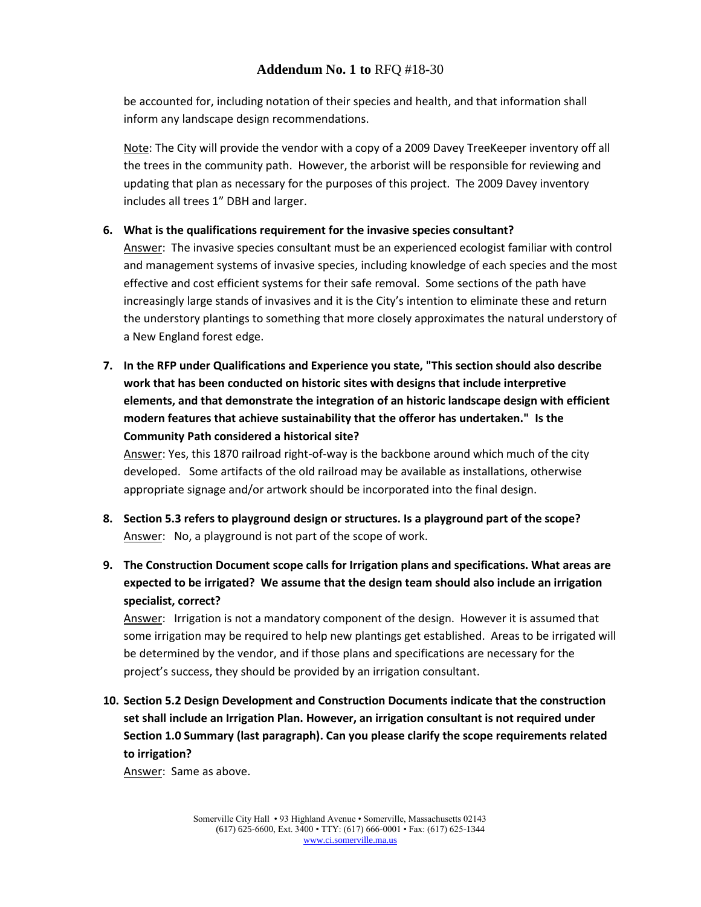be accounted for, including notation of their species and health, and that information shall inform any landscape design recommendations.

Note: The City will provide the vendor with a copy of a 2009 Davey TreeKeeper inventory off all the trees in the community path. However, the arborist will be responsible for reviewing and updating that plan as necessary for the purposes of this project. The 2009 Davey inventory includes all trees 1" DBH and larger.

#### **6. What is the qualifications requirement for the invasive species consultant?**

Answer: The invasive species consultant must be an experienced ecologist familiar with control and management systems of invasive species, including knowledge of each species and the most effective and cost efficient systems for their safe removal. Some sections of the path have increasingly large stands of invasives and it is the City's intention to eliminate these and return the understory plantings to something that more closely approximates the natural understory of a New England forest edge.

**7. In the RFP under Qualifications and Experience you state, "This section should also describe work that has been conducted on historic sites with designs that include interpretive elements, and that demonstrate the integration of an historic landscape design with efficient modern features that achieve sustainability that the offeror has undertaken." Is the Community Path considered a historical site?** 

Answer: Yes, this 1870 railroad right-of-way is the backbone around which much of the city developed. Some artifacts of the old railroad may be available as installations, otherwise appropriate signage and/or artwork should be incorporated into the final design.

- **8. Section 5.3 refers to playground design or structures. Is a playground part of the scope?** Answer: No, a playground is not part of the scope of work.
- **9. The Construction Document scope calls for Irrigation plans and specifications. What areas are expected to be irrigated? We assume that the design team should also include an irrigation specialist, correct?**

Answer: Irrigation is not a mandatory component of the design. However it is assumed that some irrigation may be required to help new plantings get established. Areas to be irrigated will be determined by the vendor, and if those plans and specifications are necessary for the project's success, they should be provided by an irrigation consultant.

**10. Section 5.2 Design Development and Construction Documents indicate that the construction set shall include an Irrigation Plan. However, an irrigation consultant is not required under Section 1.0 Summary (last paragraph). Can you please clarify the scope requirements related to irrigation?**

Answer: Same as above.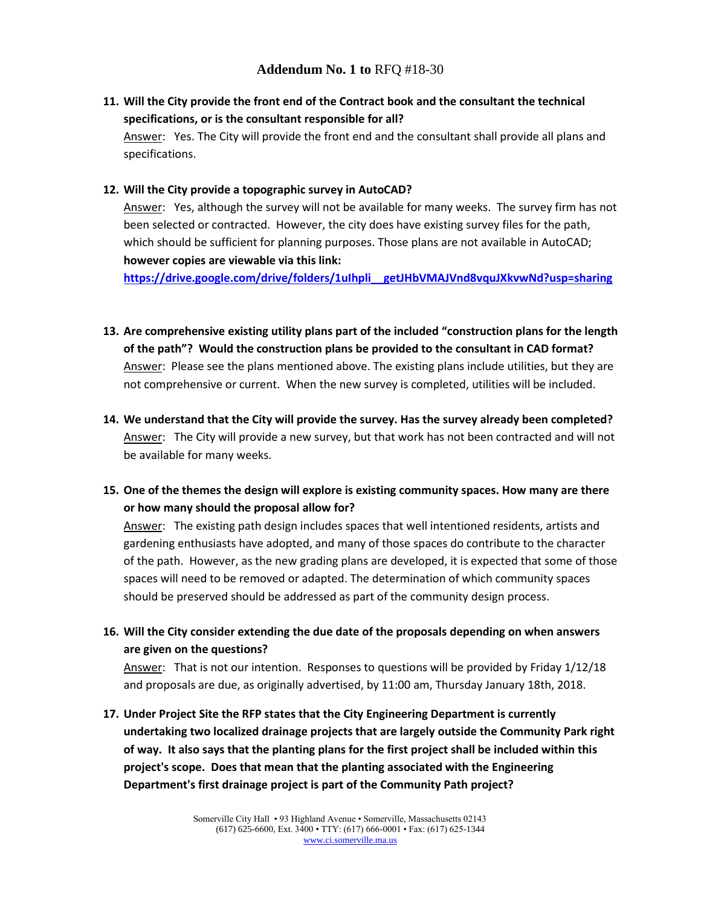## **11. Will the City provide the front end of the Contract book and the consultant the technical specifications, or is the consultant responsible for all?**

Answer: Yes. The City will provide the front end and the consultant shall provide all plans and specifications.

#### **12. Will the City provide a topographic survey in AutoCAD?**

Answer: Yes, although the survey will not be available for many weeks. The survey firm has not been selected or contracted. However, the city does have existing survey files for the path, which should be sufficient for planning purposes. Those plans are not available in AutoCAD; **however copies are viewable via this link:** 

**[https://drive.google.com/drive/folders/1uIhpli\\_\\_getJHbVMAJVnd8vquJXkvwNd?usp=sharing](https://drive.google.com/drive/folders/1uIhpli__getJHbVMAJVnd8vquJXkvwNd?usp=sharing)**

- **13. Are comprehensive existing utility plans part of the included "construction plans for the length of the path"? Would the construction plans be provided to the consultant in CAD format?** Answer: Please see the plans mentioned above. The existing plans include utilities, but they are not comprehensive or current. When the new survey is completed, utilities will be included.
- **14. We understand that the City will provide the survey. Has the survey already been completed?** Answer: The City will provide a new survey, but that work has not been contracted and will not be available for many weeks.
- **15. One of the themes the design will explore is existing community spaces. How many are there or how many should the proposal allow for?**

Answer: The existing path design includes spaces that well intentioned residents, artists and gardening enthusiasts have adopted, and many of those spaces do contribute to the character of the path. However, as the new grading plans are developed, it is expected that some of those spaces will need to be removed or adapted. The determination of which community spaces should be preserved should be addressed as part of the community design process.

**16. Will the City consider extending the due date of the proposals depending on when answers are given on the questions?**

Answer: That is not our intention. Responses to questions will be provided by Friday 1/12/18 and proposals are due, as originally advertised, by 11:00 am, Thursday January 18th, 2018.

**17. Under Project Site the RFP states that the City Engineering Department is currently undertaking two localized drainage projects that are largely outside the Community Park right of way. It also says that the planting plans for the first project shall be included within this project's scope. Does that mean that the planting associated with the Engineering Department's first drainage project is part of the Community Path project?**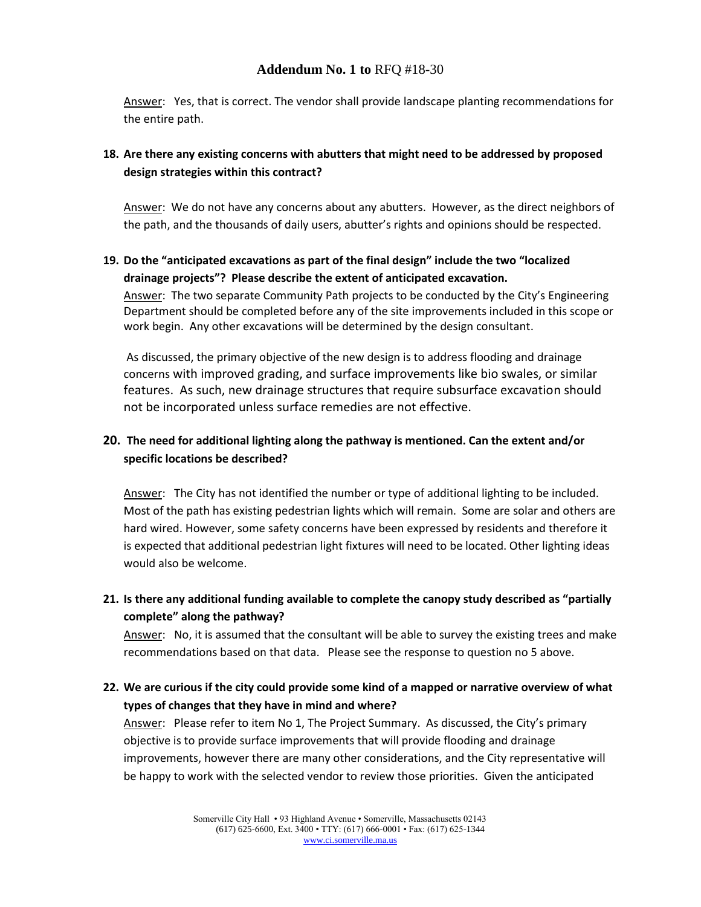Answer: Yes, that is correct. The vendor shall provide landscape planting recommendations for the entire path.

## **18. Are there any existing concerns with abutters that might need to be addressed by proposed design strategies within this contract?**

Answer: We do not have any concerns about any abutters. However, as the direct neighbors of the path, and the thousands of daily users, abutter's rights and opinions should be respected.

#### **19. Do the "anticipated excavations as part of the final design" include the two "localized drainage projects"? Please describe the extent of anticipated excavation.**

Answer: The two separate Community Path projects to be conducted by the City's Engineering Department should be completed before any of the site improvements included in this scope or work begin. Any other excavations will be determined by the design consultant.

As discussed, the primary objective of the new design is to address flooding and drainage concerns with improved grading, and surface improvements like bio swales, or similar features. As such, new drainage structures that require subsurface excavation should not be incorporated unless surface remedies are not effective.

## **20. The need for additional lighting along the pathway is mentioned. Can the extent and/or specific locations be described?**

Answer: The City has not identified the number or type of additional lighting to be included. Most of the path has existing pedestrian lights which will remain. Some are solar and others are hard wired. However, some safety concerns have been expressed by residents and therefore it is expected that additional pedestrian light fixtures will need to be located. Other lighting ideas would also be welcome.

**21. Is there any additional funding available to complete the canopy study described as "partially complete" along the pathway?**

Answer: No, it is assumed that the consultant will be able to survey the existing trees and make recommendations based on that data. Please see the response to question no 5 above.

**22. We are curious if the city could provide some kind of a mapped or narrative overview of what types of changes that they have in mind and where?**

Answer: Please refer to item No 1, The Project Summary. As discussed, the City's primary objective is to provide surface improvements that will provide flooding and drainage improvements, however there are many other considerations, and the City representative will be happy to work with the selected vendor to review those priorities. Given the anticipated